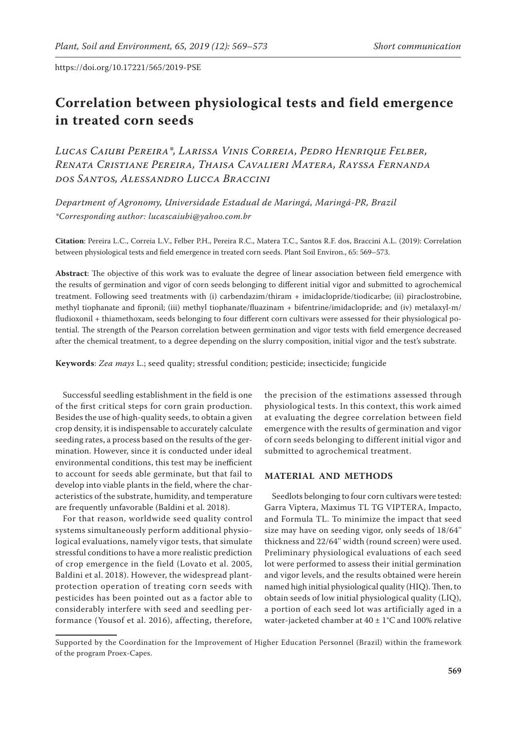# **Correlation between physiological tests and field emergence in treated corn seeds**

*Lucas Caiubi Pereira\*, Larissa Vinis Correia, Pedro Henrique Felber, Renata Cristiane Pereira, Thaisa Cavalieri Matera, Rayssa Fernanda dos Santos, Alessandro Lucca Braccini*

*Department of Agronomy, Universidade Estadual de Maringá, Maringá-PR, Brazil \*Corresponding author: lucascaiubi@yahoo.com.br*

**Citation**: Pereira L.C., Correia L.V., Felber P.H., Pereira R.C., Matera T.C., Santos R.F. dos, Braccini A.L. (2019): Correlation between physiological tests and field emergence in treated corn seeds. Plant Soil Environ., 65: 569–573.

**Abstract**: The objective of this work was to evaluate the degree of linear association between field emergence with the results of germination and vigor of corn seeds belonging to different initial vigor and submitted to agrochemical treatment. Following seed treatments with (i) carbendazim/thiram + imidaclopride/tiodicarbe; (ii) piraclostrobine, methyl tiophanate and fipronil; (iii) methyl tiophanate/fluazinam + bifentrine/imidaclopride; and (iv) metalaxyl-m/ fludioxonil + thiamethoxam, seeds belonging to four different corn cultivars were assessed for their physiological potential. The strength of the Pearson correlation between germination and vigor tests with field emergence decreased after the chemical treatment, to a degree depending on the slurry composition, initial vigor and the test's substrate.

**Keywords**: *Zea mays* L.; seed quality; stressful condition; pesticide; insecticide; fungicide

Successful seedling establishment in the field is one of the first critical steps for corn grain production. Besides the use of high-quality seeds, to obtain a given crop density, it is indispensable to accurately calculate seeding rates, a process based on the results of the germination. However, since it is conducted under ideal environmental conditions, this test may be inefficient to account for seeds able germinate, but that fail to develop into viable plants in the field, where the characteristics of the substrate, humidity, and temperature are frequently unfavorable (Baldini et al. 2018).

For that reason, worldwide seed quality control systems simultaneously perform additional physiological evaluations, namely vigor tests, that simulate stressful conditions to have a more realistic prediction of crop emergence in the field (Lovato et al. 2005, Baldini et al. 2018). However, the widespread plantprotection operation of treating corn seeds with pesticides has been pointed out as a factor able to considerably interfere with seed and seedling performance (Yousof et al. 2016), affecting, therefore,

the precision of the estimations assessed through physiological tests. In this context, this work aimed at evaluating the degree correlation between field emergence with the results of germination and vigor of corn seeds belonging to different initial vigor and submitted to agrochemical treatment.

## **Material and Methods**

Seedlots belonging to four corn cultivars were tested: Garra Viptera, Maximus TL TG VIPTERA, Impacto, and Formula TL. To minimize the impact that seed size may have on seeding vigor, only seeds of 18/64'' thickness and 22/64'' width (round screen) were used. Preliminary physiological evaluations of each seed lot were performed to assess their initial germination and vigor levels, and the results obtained were herein named high initial physiological quality (HIQ). Then, to obtain seeds of low initial physiological quality (LIQ), a portion of each seed lot was artificially aged in a water-jacketed chamber at  $40 \pm 1^{\circ}$ C and 100% relative

Supported by the Coordination for the Improvement of Higher Education Personnel (Brazil) within the framework of the program Proex-Capes.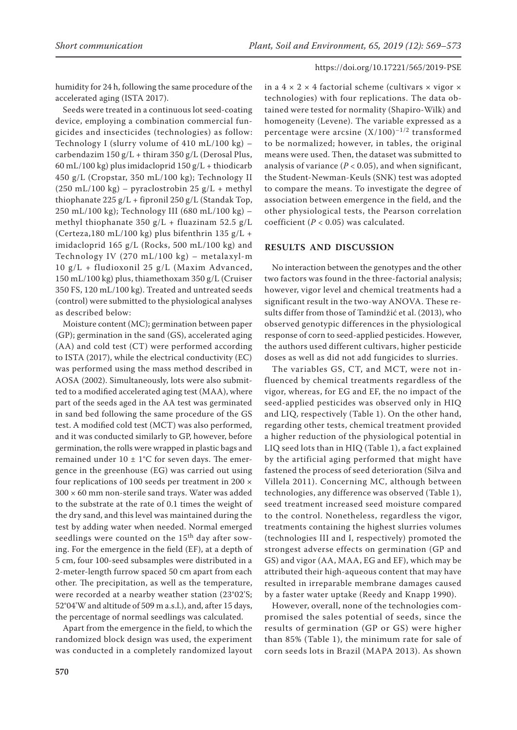humidity for 24 h, following the same procedure of the accelerated aging (ISTA 2017).

Seeds were treated in a continuous lot seed-coating device, employing a combination commercial fungicides and insecticides (technologies) as follow: Technology I (slurry volume of 410 mL/100 kg) – carbendazim  $150 g/L + thiram 350 g/L$  (Derosal Plus, 60 mL/100 kg) plus imidacloprid  $150$  g/L + thiodicarb 450 g/L (Cropstar, 350 mL/100 kg); Technology II  $(250 \text{ mL}/100 \text{ kg})$  – pyraclostrobin 25 g/L + methyl thiophanate 225 g/L + fipronil 250 g/L (Standak Top, 250 mL/100 kg); Technology III (680 mL/100 kg) – methyl thiophanate 350 g/L + fluazinam 52.5 g/L (Certeza,180 mL/100 kg) plus bifenthrin 135 g/L + imidacloprid 165 g/L (Rocks, 500 mL/100 kg) and Technology IV (270 mL/100 kg) – metalaxyl-m 10 g/L + fludioxonil 25 g/L (Maxim Advanced, 150 mL/100 kg) plus, thiamethoxam 350 g/L (Cruiser 350 FS, 120 mL/100 kg). Treated and untreated seeds (control) were submitted to the physiological analyses as described below:

Moisture content (MC); germination between paper (GP); germination in the sand (GS), accelerated aging (AA) and cold test (CT) were performed according to ISTA (2017), while the electrical conductivity (EC) was performed using the mass method described in AOSA (2002). Simultaneously, lots were also submitted to a modified accelerated aging test (MAA), where part of the seeds aged in the AA test was germinated in sand bed following the same procedure of the GS test. A modified cold test (MCT) was also performed, and it was conducted similarly to GP, however, before germination, the rolls were wrapped in plastic bags and remained under  $10 \pm 1$ °C for seven days. The emergence in the greenhouse (EG) was carried out using four replications of 100 seeds per treatment in 200 ×  $300 \times 60$  mm non-sterile sand trays. Water was added to the substrate at the rate of 0.1 times the weight of the dry sand, and this level was maintained during the test by adding water when needed. Normal emerged seedlings were counted on the  $15<sup>th</sup>$  day after sowing. For the emergence in the field (EF), at a depth of 5 cm, four 100-seed subsamples were distributed in a 2-meter-length furrow spaced 50 cm apart from each other. The precipitation, as well as the temperature, were recorded at a nearby weather station (23°02'S; 52°04'W and altitude of 509 m a.s.l.), and, after 15 days, the percentage of normal seedlings was calculated.

Apart from the emergence in the field, to which the randomized block design was used, the experiment was conducted in a completely randomized layout in a  $4 \times 2 \times 4$  factorial scheme (cultivars  $\times$  vigor  $\times$ technologies) with four replications. The data obtained were tested for normality (Shapiro-Wilk) and homogeneity (Levene). The variable expressed as a percentage were arcsine  $(X/100)^{-1/2}$  transformed to be normalized; however, in tables, the original means were used. Then, the dataset was submitted to analysis of variance  $(P < 0.05)$ , and when significant, the Student-Newman-Keuls (SNK) test was adopted to compare the means. To investigate the degree of association between emergence in the field, and the other physiological tests, the Pearson correlation coefficient (*P* < 0.05) was calculated.

### **Results and Discussion**

No interaction between the genotypes and the other two factors was found in the three-factorial analysis; however, vigor level and chemical treatments had a significant result in the two-way ANOVA. These results differ from those of Tamindžić et al. (2013), who observed genotypic differences in the physiological response of corn to seed-applied pesticides. However, the authors used different cultivars, higher pesticide doses as well as did not add fungicides to slurries.

The variables GS, CT, and MCT, were not influenced by chemical treatments regardless of the vigor, whereas, for EG and EF, the no impact of the seed-applied pesticides was observed only in HIQ and LIQ, respectively (Table 1). On the other hand, regarding other tests, chemical treatment provided a higher reduction of the physiological potential in LIQ seed lots than in HIQ (Table 1), a fact explained by the artificial aging performed that might have fastened the process of seed deterioration (Silva and Villela 2011). Concerning MC, although between technologies, any difference was observed (Table 1), seed treatment increased seed moisture compared to the control. Nonetheless, regardless the vigor, treatments containing the highest slurries volumes (technologies III and I, respectively) promoted the strongest adverse effects on germination (GP and GS) and vigor (AA, MAA, EG and EF), which may be attributed their high-aqueous content that may have resulted in irreparable membrane damages caused by a faster water uptake (Reedy and Knapp 1990).

However, overall, none of the technologies compromised the sales potential of seeds, since the results of germination (GP or GS) were higher than 85% (Table 1), the minimum rate for sale of corn seeds lots in Brazil (MAPA 2013). As shown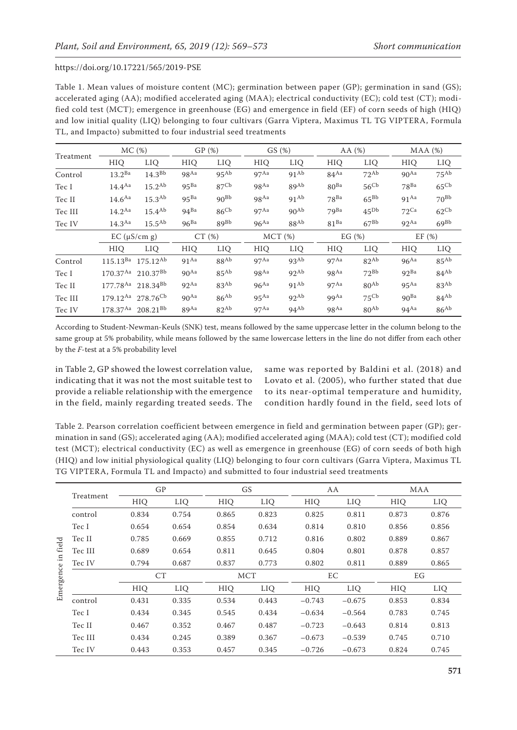Table 1. Mean values of moisture content (MC); germination between paper (GP); germination in sand (GS); accelerated aging (AA); modified accelerated aging (MAA); electrical conductivity (EC); cold test (CT); modified cold test (MCT); emergence in greenhouse (EG) and emergence in field (EF) of corn seeds of high (HIQ) and low initial quality (LIQ) belonging to four cultivars (Garra Viptera, Maximus TL TG VIPTERA, Formula TL, and Impacto) submitted to four industrial seed treatments

| Treatment | MC(%)                              |                    | GP(%)              |                  | GS(%)              |                  | AA $(%)$           |                  | $MAA$ $(\%)$       |                  |
|-----------|------------------------------------|--------------------|--------------------|------------------|--------------------|------------------|--------------------|------------------|--------------------|------------------|
|           | HIQ                                | LIQ                | HIQ                | LIQ              | HIO                | LIQ              | HIO                | LIQ              | <b>HIO</b>         | LIQ              |
| Control   | $13.2^{Ba}$                        | 14.3 <sup>Bb</sup> | 98 <sup>Aa</sup>   | $95^{Ab}$        | 97 <sup>Aa</sup>   | $91^{Ab}$        | $84^{Aa}$          | $72^{Ab}$        | 90 <sup>Aa</sup>   | $75^{Ab}$        |
| Tec I     | $14.4^{Aa}$                        | $15.2^{Ab}$        | 95 <sup>Ba</sup>   | 87 <sup>Cb</sup> | $98$ <sup>Aa</sup> | 89 <sup>Ab</sup> | $80^{Ba}$          | 56 <sup>Cb</sup> | $78^{Ba}$          | 65 <sup>Cb</sup> |
| Tec II    | 14.6 <sup>Aa</sup>                 | 15.3 <sup>Ab</sup> | $95^{Ba}$          | $90^{Bb}$        | $98$ <sup>Aa</sup> | $91^{Ab}$        | $78^{Ba}$          | $65^{Bb}$        | $91$ Aa            | $70^{Bb}$        |
| Tec III   | $14.2^{Aa}$                        | $15.4^{Ab}$        | $94^{Ba}$          | 86 <sup>Cb</sup> | $97$ <sup>Aa</sup> | $90^{Ab}$        | $79^{Ba}$          | $45^{Db}$        | $72$ Ca            | $62^{\text{Cb}}$ |
| Tec IV    | $14.3^{Aa}$                        | 15.5 <sup>Ab</sup> | $96^{Ba}$          | $89^{Bb}$        | $96$ <sup>Aa</sup> | 88Ab             | 81 <sup>Ba</sup>   | $67^{Bb}$        | $92^{Aa}$          | 69 <sup>Bb</sup> |
|           | $EC$ ( $\mu$ S/cm g)               |                    | CT(%)              |                  | MCT(%)             |                  | EG $(\%)$          |                  | EF(%)              |                  |
|           | <b>HIO</b>                         | LIQ                | <b>HIO</b>         | LIQ              | HIO                | LIO              | HIO                | <b>LIO</b>       | <b>HIO</b>         | <b>LIO</b>       |
| Control   | $115.13^{Ba}$                      | $175.12^{Ab}$      | $91$ <sup>Aa</sup> | 88 <sup>Ab</sup> | $97$ Aa            | 93 <sup>Ab</sup> | $97$ <sup>Aa</sup> | $82^{Ab}$        | $96^{Aa}$          | $85^{Ab}$        |
| Tec I     | $170.37^{Aa}$ 210.37 <sup>Bb</sup> |                    | 90 <sup>Aa</sup>   | $85^{Ab}$        | $98$ <sup>Aa</sup> | $92^{Ab}$        | $98$ <sup>Aa</sup> | $72^{Bb}$        | 92 <sup>Ba</sup>   | $84^{Ab}$        |
| Tec II    | 177.78Aa 218.34Bb                  |                    | $92$ <sup>Aa</sup> | $83^{Ab}$        | $96$ <sup>Aa</sup> | $91^{Ab}$        | $97$ <sup>Aa</sup> | $80^{Ab}$        | $95$ <sup>Aa</sup> | 83 <sup>Ab</sup> |
| Tec III   | 179.12Aa 278.76 <sup>Cb</sup>      |                    | 90 <sup>Aa</sup>   | $86^{Ab}$        | $95$ <sup>Aa</sup> | $92^{Ab}$        | <b>99</b> Aa       | $75^{\text{Cb}}$ | 90 <sup>Ba</sup>   | $84^{Ab}$        |
| Tec IV    | $178.37^{Aa}$                      | $208.21^{Bb}$      | ggAa               | $82^{Ab}$        | $97$ <sup>Aa</sup> | $94^{Ab}$        | $98$ <sup>Aa</sup> | $80^{\rm Ab}$    | $94$ <sup>Aa</sup> | $86^{Ab}$        |

According to Student-Newman-Keuls (SNK) test, means followed by the same uppercase letter in the column belong to the same group at 5% probability, while means followed by the same lowercase letters in the line do not differ from each other by the *F*-test at a 5% probability level

in Table 2, GP showed the lowest correlation value, indicating that it was not the most suitable test to provide a reliable relationship with the emergence in the field, mainly regarding treated seeds. The

same was reported by Baldini et al. (2018) and Lovato et al. (2005), who further stated that due to its near-optimal temperature and humidity, condition hardly found in the field, seed lots of

Table 2. Pearson correlation coefficient between emergence in field and germination between paper (GP); germination in sand (GS); accelerated aging (AA); modified accelerated aging (MAA); cold test (CT); modified cold test (MCT); electrical conductivity (EC) as well as emergence in greenhouse (EG) of corn seeds of both high (HIQ) and low initial physiological quality (LIQ) belonging to four corn cultivars (Garra Viptera, Maximus TL TG VIPTERA, Formula TL and Impacto) and submitted to four industrial seed treatments

| field<br>$\Xi$<br>Emergence | Treatment |            | GP    |            | GS    |          | AA       |            | MAA   |  |
|-----------------------------|-----------|------------|-------|------------|-------|----------|----------|------------|-------|--|
|                             |           | <b>HIQ</b> | LIQ   | HIO        | LIQ   | HIO      | LIQ      | HIO        | LIQ   |  |
|                             | control   | 0.834      | 0.754 | 0.865      | 0.823 | 0.825    | 0.811    | 0.873      | 0.876 |  |
|                             | Tec I     | 0.654      | 0.654 | 0.854      | 0.634 | 0.814    | 0.810    | 0.856      | 0.856 |  |
|                             | Tec II    | 0.785      | 0.669 | 0.855      | 0.712 | 0.816    | 0.802    | 0.889      | 0.867 |  |
|                             | Tec III   | 0.689      | 0.654 | 0.811      | 0.645 | 0.804    | 0.801    | 0.878      | 0.857 |  |
|                             | Tec IV    | 0.794      | 0.687 | 0.837      | 0.773 | 0.802    | 0.811    | 0.889      | 0.865 |  |
|                             |           | CT         |       | <b>MCT</b> |       | EC       |          | EG         |       |  |
|                             |           | <b>HIQ</b> | LIQ   | HIQ        | LIQ   | HIO      | LIQ      | <b>HIQ</b> | LIQ   |  |
|                             | control   | 0.431      | 0.335 | 0.534      | 0.443 | $-0.743$ | $-0.675$ | 0.853      | 0.834 |  |
|                             | Tec I     | 0.434      | 0.345 | 0.545      | 0.434 | $-0.634$ | $-0.564$ | 0.783      | 0.745 |  |
|                             | Tec II    | 0.467      | 0.352 | 0.467      | 0.487 | $-0.723$ | $-0.643$ | 0.814      | 0.813 |  |
|                             | Tec III   | 0.434      | 0.245 | 0.389      | 0.367 | $-0.673$ | $-0.539$ | 0.745      | 0.710 |  |
|                             | Tec IV    | 0.443      | 0.353 | 0.457      | 0.345 | $-0.726$ | $-0.673$ | 0.824      | 0.745 |  |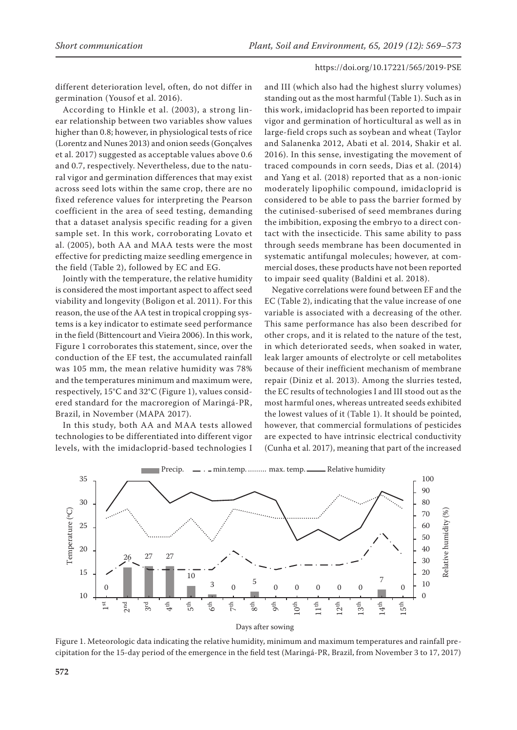different deterioration level, often, do not differ in germination (Yousof et al. 2016).

According to Hinkle et al. (2003), a strong linear relationship between two variables show values higher than 0.8; however, in physiological tests of rice (Lorentz and Nunes 2013) and onion seeds (Gonçalves et al. 2017) suggested as acceptable values above 0.6 and 0.7, respectively. Nevertheless, due to the natural vigor and germination differences that may exist across seed lots within the same crop, there are no fixed reference values for interpreting the Pearson coefficient in the area of seed testing, demanding that a dataset analysis specific reading for a given sample set. In this work, corroborating Lovato et al. (2005), both AA and MAA tests were the most effective for predicting maize seedling emergence in the field (Table 2), followed by EC and EG.

Jointly with the temperature, the relative humidity is considered the most important aspect to affect seed viability and longevity (Boligon et al. 2011). For this reason, the use of the AA test in tropical cropping systems is a key indicator to estimate seed performance in the field (Bittencourt and Vieira 2006). In this work, Figure 1 corroborates this statement, since, over the conduction of the EF test, the accumulated rainfall was 105 mm, the mean relative humidity was 78% and the temperatures minimum and maximum were, respectively, 15°C and 32°C (Figure 1), values considered standard for the macroregion of Maringá-PR, Brazil, in November (MAPA 2017).

In this study, both AA and MAA tests allowed technologies to be differentiated into different vigor levels, with the imidacloprid-based technologies I and III (which also had the highest slurry volumes) standing out as the most harmful (Table 1). Such as in this work, imidacloprid has been reported to impair vigor and germination of horticultural as well as in large-field crops such as soybean and wheat (Taylor and Salanenka 2012, Abati et al. 2014, Shakir et al. 2016). In this sense, investigating the movement of traced compounds in corn seeds, Dias et al. (2014) and Yang et al. (2018) reported that as a non-ionic moderately lipophilic compound, imidacloprid is considered to be able to pass the barrier formed by the cutinised-suberised of seed membranes during the imbibition, exposing the embryo to a direct contact with the insecticide. This same ability to pass through seeds membrane has been documented in systematic antifungal molecules; however, at commercial doses, these products have not been reported to impair seed quality (Baldini et al. 2018).

Negative correlations were found between EF and the EC (Table 2), indicating that the value increase of one variable is associated with a decreasing of the other. This same performance has also been described for other crops, and it is related to the nature of the test, in which deteriorated seeds, when soaked in water, leak larger amounts of electrolyte or cell metabolites because of their inefficient mechanism of membrane repair (Diniz et al. 2013). Among the slurries tested, the EC results of technologies I and III stood out as the most harmful ones, whereas untreated seeds exhibited the lowest values of it (Table 1). It should be pointed, however, that commercial formulations of pesticides are expected to have intrinsic electrical conductivity (Cunha et al. 2017), meaning that part of the increased



Figure 1. Meteorologic data indicating the relative humidity, minimum and maximum temperatures and rainfall precipitation for the 15-day period of the emergence in the field test (Maringá-PR, Brazil, from November 3 to 17, 2017)